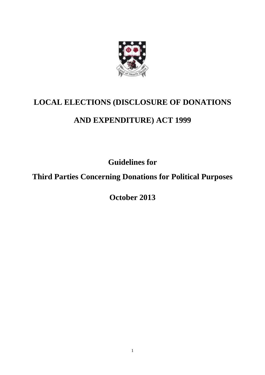

# **LOCAL ELECTIONS (DISCLOSURE OF DONATIONS**

# **AND EXPENDITURE) ACT 1999**

**Guidelines for** 

**Third Parties Concerning Donations for Political Purposes** 

**October 2013**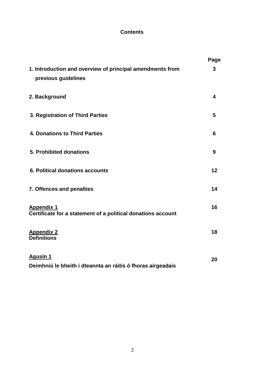## **Contents**

|                                                                                   | Page |
|-----------------------------------------------------------------------------------|------|
| 1. Introduction and overview of principal amendments from<br>previous guidelines  | 3    |
| 2. Background                                                                     | 4    |
| 3. Registration of Third Parties                                                  | 5    |
| <b>4. Donations to Third Parties</b>                                              | 6    |
| 5. Prohibited donations                                                           | 9    |
| 6. Political donations accounts                                                   | 12   |
| 7. Offences and penalties                                                         | 14   |
| <b>Appendix 1</b><br>Certificate for a statement of a political donations account | 16   |
| <b>Appendix 2</b><br><b>Definitions</b>                                           | 18   |
| <b>Agusín 1</b><br>Deimhniú le bheith i dteannta an ráitis ó fhoras airgeadais    | 20   |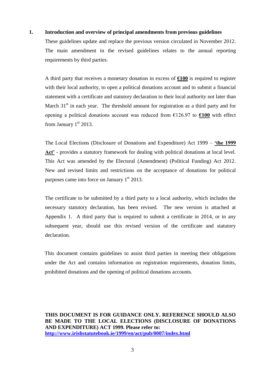#### **1. Introduction and overview of principal amendments from previous guidelines**

These guidelines update and replace the previous version circulated in November 2012. The main amendment in the revised guidelines relates to the annual reporting requirements by third parties.

A third party that receives a monetary donation in excess of **€100** is required to register with their local authority, to open a political donations account and to submit a financial statement with a certificate and statutory declaration to their local authority not later than March  $31<sup>st</sup>$  in each year. The threshold amount for registration as a third party and for opening a political donations account was reduced from €126.97 to **€100** with effect from January  $1<sup>st</sup> 2013$ .

The Local Elections (Disclosure of Donations and Expenditure) Act 1999 – **'the 1999 Act'** - provides a statutory framework for dealing with political donations at local level. This Act was amended by the Electoral (Amendment) (Political Funding) Act 2012. New and revised limits and restrictions on the acceptance of donations for political purposes came into force on January  $1<sup>st</sup> 2013$ .

The certificate to be submitted by a third party to a local authority, which includes the necessary statutory declaration, has been revised. The new version is attached at Appendix 1. A third party that is required to submit a certificate in 2014, or in any subsequent year, should use this revised version of the certificate and statutory declaration.

This document contains guidelines to assist third parties in meeting their obligations under the Act and contains information on registration requirements, donation limits, prohibited donations and the opening of political donations accounts.

**THIS DOCUMENT IS FOR GUIDANCE ONLY. REFERENCE SHOULD ALSO BE MADE TO THE LOCAL ELECTIONS (DISCLOSURE OF DONATIONS AND EXPENDITURE) ACT 1999. Please refer to: <http://www.irishstatutebook.ie/1999/en/act/pub/0007/index.html>**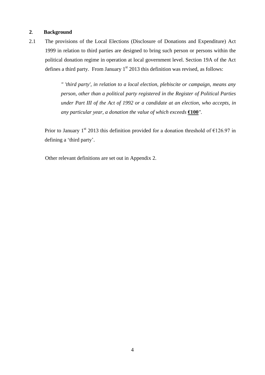#### **2**. **Background**

2.1 The provisions of the Local Elections (Disclosure of Donations and Expenditure) Act 1999 in relation to third parties are designed to bring such person or persons within the political donation regime in operation at local government level. Section 19A of the Act defines a third party. From January  $1<sup>st</sup>$  2013 this definition was revised, as follows:

> *" 'third party', in relation to a local election, plebiscite or campaign, means any person, other than a political party registered in the Register of Political Parties under Part III of the Act of 1992 or a candidate at an election, who accepts, in any particular year, a donation the value of which exceeds* **€100***".*

Prior to January 1<sup>st</sup> 2013 this definition provided for a donation threshold of  $\epsilon$ 126.97 in defining a 'third party'.

Other relevant definitions are set out in Appendix 2.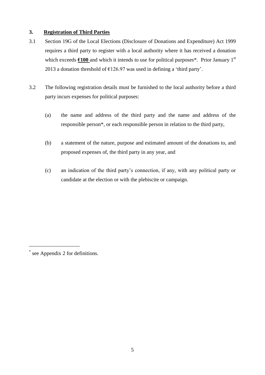#### **3. Registration of Third Parties**

- 3.1 Section 19G of the Local Elections (Disclosure of Donations and Expenditure) Act 1999 requires a third party to register with a local authority where it has received a donation which exceeds  $\epsilon$ 100 and which it intends to use for political purposes<sup>\*</sup>. Prior January 1<sup>st</sup> 2013 a donation threshold of  $E$ 126.97 was used in defining a 'third party'.
- 3.2 The following registration details must be furnished to the local authority before a third party incurs expenses for political purposes:
	- (a) the name and address of the third party and the name and address of the responsible person\*, or each responsible person in relation to the third party,
	- (b) a statement of the nature, purpose and estimated amount of the donations to, and proposed expenses of, the third party in any year, and
	- (c) an indication of the third party's connection, if any, with any political party or candidate at the election or with the plebiscite or campaign.

\_\_\_\_\_\_\_\_\_\_\_\_\_\_\_\_\_\_\_

<sup>\*</sup> see Appendix 2 for definitions.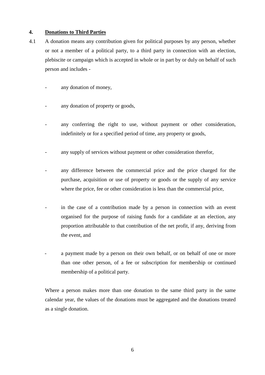#### **4. Donations to Third Parties**

- 4.1 A donation means any contribution given for political purposes by any person, whether or not a member of a political party, to a third party in connection with an election, plebiscite or campaign which is accepted in whole or in part by or duly on behalf of such person and includes
	- any donation of money,
	- any donation of property or goods,
	- any conferring the right to use, without payment or other consideration, indefinitely or for a specified period of time, any property or goods,
	- any supply of services without payment or other consideration therefor,
	- any difference between the commercial price and the price charged for the purchase, acquisition or use of property or goods or the supply of any service where the price, fee or other consideration is less than the commercial price,
	- in the case of a contribution made by a person in connection with an event organised for the purpose of raising funds for a candidate at an election, any proportion attributable to that contribution of the net profit, if any, deriving from the event, and
	- a payment made by a person on their own behalf, or on behalf of one or more than one other person, of a fee or subscription for membership or continued membership of a political party.

Where a person makes more than one donation to the same third party in the same calendar year, the values of the donations must be aggregated and the donations treated as a single donation.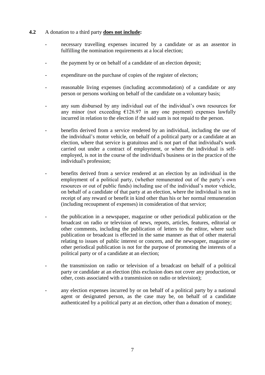#### **4.2** A donation to a third party **does not include:**

- necessary travelling expenses incurred by a candidate or as an assentor in fulfilling the nomination requirements at a local election;
- the payment by or on behalf of a candidate of an election deposit;
- expenditure on the purchase of copies of the register of electors;
- reasonable living expenses (including accommodation) of a candidate or any person or persons working on behalf of the candidate on a voluntary basis;
- any sum disbursed by any individual out of the individual's own resources for any minor (not exceeding  $£126.97$  in any one payment) expenses lawfully incurred in relation to the election if the said sum is not repaid to the person.
- benefits derived from a service rendered by an individual, including the use of the individual's motor vehicle, on behalf of a political party or a candidate at an election, where that service is gratuitous and is not part of that individual's work carried out under a contract of employment, or where the individual is selfemployed, is not in the course of the individual's business or in the practice of the individual's profession;
- benefits derived from a service rendered at an election by an individual in the employment of a political party, (whether remunerated out of the party's own resources or out of public funds) including use of the individual's motor vehicle, on behalf of a candidate of that party at an election, where the individual is not in receipt of any reward or benefit in kind other than his or her normal remuneration (including recoupment of expenses) in consideration of that service;
- the publication in a newspaper, magazine or other periodical publication or the broadcast on radio or television of news, reports, articles, features, editorial or other comments, including the publication of letters to the editor, where such publication or broadcast is effected in the same manner as that of other material relating to issues of public interest or concern, and the newspaper, magazine or other periodical publication is not for the purpose of promoting the interests of a political party or of a candidate at an election;
- the transmission on radio or television of a broadcast on behalf of a political party or candidate at an election (this exclusion does not cover any production, or other, costs associated with a transmission on radio or television);
- any election expenses incurred by or on behalf of a political party by a national agent or designated person, as the case may be, on behalf of a candidate authenticated by a political party at an election, other than a donation of money;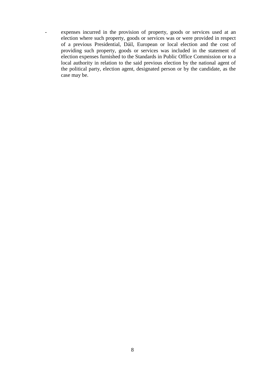- expenses incurred in the provision of property, goods or services used at an election where such property, goods or services was or were provided in respect of a previous Presidential, Dáil, European or local election and the cost of providing such property, goods or services was included in the statement of election expenses furnished to the Standards in Public Office Commission or to a local authority in relation to the said previous election by the national agent of the political party, election agent, designated person or by the candidate, as the case may be.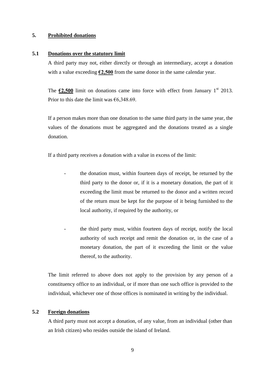#### **5. Prohibited donations**

#### **5.1 Donations over the statutory limit**

A third party may not, either directly or through an intermediary, accept a donation with a value exceeding  $\epsilon$ 2,500 from the same donor in the same calendar year.

The  $\epsilon$ 2,500 limit on donations came into force with effect from January 1<sup>st</sup> 2013. Prior to this date the limit was  $\epsilon$ 6,348.69.

If a person makes more than one donation to the same third party in the same year, the values of the donations must be aggregated and the donations treated as a single donation.

If a third party receives a donation with a value in excess of the limit:

- the donation must, within fourteen days of receipt, be returned by the third party to the donor or, if it is a monetary donation, the part of it exceeding the limit must be returned to the donor and a written record of the return must be kept for the purpose of it being furnished to the local authority, if required by the authority, or
- the third party must, within fourteen days of receipt, notify the local authority of such receipt and remit the donation or, in the case of a monetary donation, the part of it exceeding the limit or the value thereof, to the authority.

The limit referred to above does not apply to the provision by any person of a constituency office to an individual, or if more than one such office is provided to the individual, whichever one of those offices is nominated in writing by the individual.

#### **5.2 Foreign donations**

A third party must not accept a donation, of any value, from an individual (other than an Irish citizen) who resides outside the island of Ireland.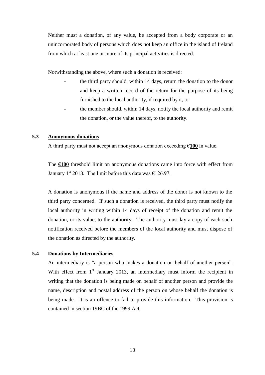Neither must a donation, of any value, be accepted from a body corporate or an unincorporated body of persons which does not keep an office in the island of Ireland from which at least one or more of its principal activities is directed.

Notwithstanding the above, where such a donation is received:

- the third party should, within 14 days, return the donation to the donor and keep a written record of the return for the purpose of its being furnished to the local authority, if required by it, or
- the member should, within 14 days, notify the local authority and remit the donation, or the value thereof, to the authority.

#### **5.3 Anonymous donations**

A third party must not accept an anonymous donation exceeding €**100** in value.

The **€100** threshold limit on anonymous donations came into force with effect from January 1<sup>st</sup> 2013. The limit before this date was  $\epsilon$ 126.97.

A donation is anonymous if the name and address of the donor is not known to the third party concerned. If such a donation is received, the third party must notify the local authority in writing within 14 days of receipt of the donation and remit the donation, or its value, to the authority. The authority must lay a copy of each such notification received before the members of the local authority and must dispose of the donation as directed by the authority.

#### **5.4 Donations by Intermediaries**

An intermediary is "a person who makes a donation on behalf of another person". With effect from  $1<sup>st</sup>$  January 2013, an intermediary must inform the recipient in writing that the donation is being made on behalf of another person and provide the name, description and postal address of the person on whose behalf the donation is being made. It is an offence to fail to provide this information. This provision is contained in section 19BC of the 1999 Act.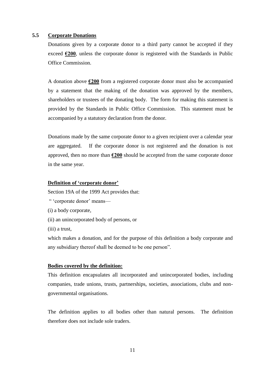#### **5.5 Corporate Donations**

Donations given by a corporate donor to a third party cannot be accepted if they exceed **€200**, unless the corporate donor is registered with the Standards in Public Office Commission.

A donation above **€200** from a registered corporate donor must also be accompanied by a statement that the making of the donation was approved by the members, shareholders or trustees of the donating body. The form for making this statement is provided by the Standards in Public Office Commission. This statement must be accompanied by a statutory declaration from the donor.

Donations made by the same corporate donor to a given recipient over a calendar year are aggregated. If the corporate donor is not registered and the donation is not approved, then no more than **€200** should be accepted from the same corporate donor in the same year.

#### **Definition of 'corporate donor'**

Section 19A of the 1999 Act provides that:

- " 'corporate donor' means—
- (i) a body corporate,
- (ii) an unincorporated body of persons, or
- (iii) a trust,

which makes a donation, and for the purpose of this definition a body corporate and any subsidiary thereof shall be deemed to be one person".

#### **Bodies covered by the definition:**

This definition encapsulates all incorporated and unincorporated bodies, including companies, trade unions, trusts, partnerships, societies, associations, clubs and nongovernmental organisations.

The definition applies to all bodies other than natural persons. The definition therefore does not include sole traders.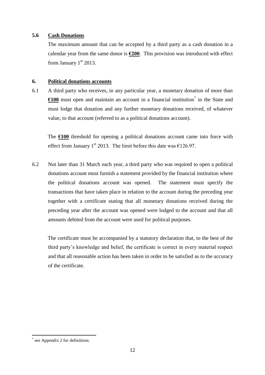#### **5.6 Cash Donations**

The maximum amount that can be accepted by a third party as a cash donation in a calendar year from the same donor is **€200**. This provision was introduced with effect from January  $1<sup>st</sup> 2013$ .

#### **6. Political donations accounts**

6.1 A third party who receives, in any particular year, a monetary donation of more than  $E100$  must open and maintain an account in a financial institution<sup>\*</sup> in the State and must lodge that donation and any further monetary donations received, of whatever value, to that account (referred to as a political donations account).

The **€100** threshold for opening a political donations account came into force with effect from January 1<sup>st</sup> 2013. The limit before this date was  $\epsilon$ 126.97.

6.2 Not later than 31 March each year, a third party who was required to open a political donations account must furnish a statement provided by the financial institution where the political donations account was opened. The statement must specify the transactions that have taken place in relation to the account during the preceding year together with a certificate stating that all monetary donations received during the preceding year after the account was opened were lodged to the account and that all amounts debited from the account were used for political purposes.

The certificate must be accompanied by a statutory declaration that, to the best of the third party's knowledge and belief, the certificate is correct in every material respect and that all reasonable action has been taken in order to be satisfied as to the accuracy of the certificate.

1

<sup>\*</sup> see Appendix 2 for definitions.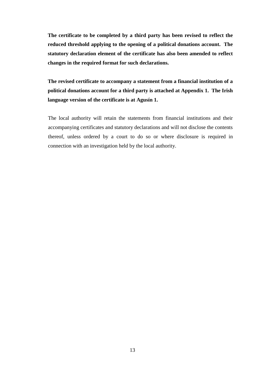**The certificate to be completed by a third party has been revised to reflect the reduced threshold applying to the opening of a political donations account. The statutory declaration element of the certificate has also been amended to reflect changes in the required format for such declarations.**

**The revised certificate to accompany a statement from a financial institution of a political donations account for a third party is attached at Appendix 1. The Irish language version of the certificate is at Agusín 1.**

The local authority will retain the statements from financial institutions and their accompanying certificates and statutory declarations and will not disclose the contents thereof, unless ordered by a court to do so or where disclosure is required in connection with an investigation held by the local authority.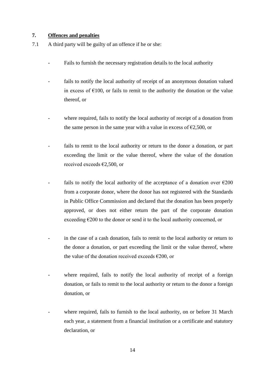#### **7. Offences and penalties**

- 7.1 A third party will be guilty of an offence if he or she:
	- Fails to furnish the necessary registration details to the local authority
	- fails to notify the local authority of receipt of an anonymous donation valued in excess of  $\epsilon$ 100, or fails to remit to the authority the donation or the value thereof, or
	- where required, fails to notify the local authority of receipt of a donation from the same person in the same year with a value in excess of  $\epsilon$ 2,500, or
	- fails to remit to the local authority or return to the donor a donation, or part exceeding the limit or the value thereof, where the value of the donation received exceeds €2,500, or
	- fails to notify the local authority of the acceptance of a donation over  $\epsilon$ 200 from a corporate donor, where the donor has not registered with the Standards in Public Office Commission and declared that the donation has been properly approved, or does not either return the part of the corporate donation exceeding  $\epsilon$ 200 to the donor or send it to the local authority concerned, or
	- in the case of a cash donation, fails to remit to the local authority or return to the donor a donation, or part exceeding the limit or the value thereof, where the value of the donation received exceeds  $\epsilon$ 200, or
	- where required, fails to notify the local authority of receipt of a foreign donation, or fails to remit to the local authority or return to the donor a foreign donation, or
	- where required, fails to furnish to the local authority, on or before 31 March each year, a statement from a financial institution or a certificate and statutory declaration or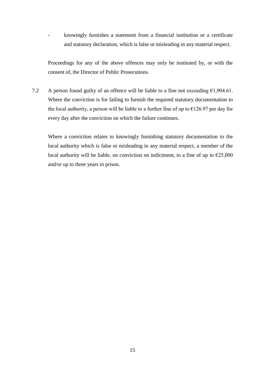- knowingly furnishes a statement from a financial institution or a certificate and statutory declaration, which is false or misleading in any material respect.

Proceedings for any of the above offences may only be instituted by, or with the consent of, the Director of Public Prosecutions.

7.2 A person found guilty of an offence will be liable to a fine not exceeding  $\epsilon$ 1,904.61. Where the conviction is for failing to furnish the required statutory documentation to the local authority, a person will be liable to a further fine of up to  $\epsilon$ 126.97 per day for every day after the conviction on which the failure continues.

Where a conviction relates to knowingly furnishing statutory documentation to the local authority which is false or misleading in any material respect, a member of the local authority will be liable, on conviction on indictment, to a fine of up to  $\epsilon$ 25,000 and/or up to three years in prison.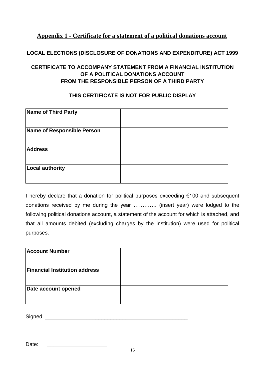# **Appendix 1 - Certificate for a statement of a political donations account**

# **LOCAL ELECTIONS (DISCLOSURE OF DONATIONS AND EXPENDITURE) ACT 1999**

# **CERTIFICATE TO ACCOMPANY STATEMENT FROM A FINANCIAL INSTITUTION OF A POLITICAL DONATIONS ACCOUNT FROM THE RESPONSIBLE PERSON OF A THIRD PARTY**

### **THIS CERTIFICATE IS NOT FOR PUBLIC DISPLAY**

| Name of Third Party        |  |
|----------------------------|--|
| Name of Responsible Person |  |
| <b>Address</b>             |  |
| Local authority            |  |

I hereby declare that a donation for political purposes exceeding €100 and subsequent donations received by me during the year …………. (insert year) were lodged to the following political donations account, a statement of the account for which is attached, and that all amounts debited (excluding charges by the institution) were used for political purposes.

| <b>Account Number</b>                |  |
|--------------------------------------|--|
| <b>Financial Institution address</b> |  |
| Date account opened                  |  |

Signed: \_\_\_\_\_\_\_\_\_\_\_\_\_\_\_\_\_\_\_\_\_\_\_\_\_\_\_\_\_\_\_\_\_\_\_\_\_\_\_\_\_\_\_\_\_\_\_\_

Date: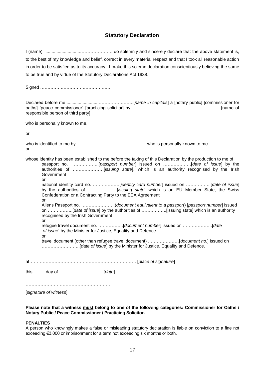#### **Statutory Declaration**

I (name) ............................…………………. do solemnly and sincerely declare that the above statement is, to the best of my knowledge and belief, correct in every material respect and that I took all reasonable action in order to be satisfied as to its accuracy. I make this solemn declaration conscientiously believing the same to be true and by virtue of the Statutory Declarations Act 1938. Signed ………………………………………… Declared before me...........................…………….……..[*name in capitals*] a [notary public] [commissioner for oaths] [peace commissioner] [practicing solicitor] by ……………………………………………………[name of responsible person of third party] who is personally known to me, or who is identified to me by ……………………………………….. who is personally known to me or whose identity has been established to me before the taking of this Declaration by the production to me of passport no. ……………..[*passport number*] issued on ……………….[*date of issue*] by the authorities of …………………[*issuing state*], which is an authority recognised by the Irish Government or national identity card no. ………………[*identity card number*] issued on ……………..[*date of issue*] by the authorities of ………………..[*issuing state*] which is an EU Member State, the Swiss Confederation or a Contracting Party to the EEA Agreement or Aliens Passport no. …………………..(*document equivalent to a passport*) [*passport number*] issued on ……………..[*date of issue*] by the authorities of ……………..[issuing state] which is an authority recognised by the Irish Government or refugee travel document no. ……………..[*document number*] issued on ………………..[*date of issue*] by the Minister for Justice, Equality and Defence or travel document (other than refugee travel document) …………………[*document no.*] issued on ……………………..[*date of issue*] by the Minister for Justice, Equality and Defence. at……………………………………………………………… [*place of signature*] this………day of …………………………[*date*] …………………………………………………

[*signature of witness*]

**Please note that a witness must belong to one of the following categories: Commissioner for Oaths / Notary Public / Peace Commissioner / Practicing Solicitor.**

#### **PENALTIES**

A person who knowingly makes a false or misleading statutory declaration is liable on conviction to a fine not exceeding €3,000 or imprisonment for a term not exceeding six months or both.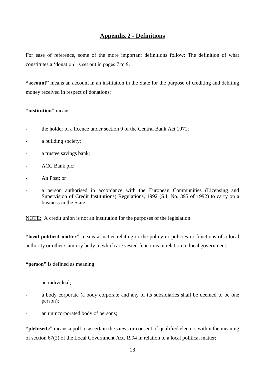# **Appendix 2 - Definitions**

For ease of reference, some of the more important definitions follow: The definition of what constitutes a 'donation' is set out in pages 7 to 9.

**"account"** means an account in an institution in the State for the purpose of crediting and debiting money received in respect of donations;

#### **"institution"** means:

- the holder of a licence under section 9 of the Central Bank Act 1971;
- a building society;
- a trustee savings bank;
- ACC Bank plc;
- An Post; or
- a person authorised in accordance with the European Communities (Licensing and Supervision of Credit Institutions) Regulations, 1992 (S.I. No. 395 of 1992) to carry on a business in the State.

NOTE: A credit union is not an institution for the purposes of the legislation.

**"local political matter"** means a matter relating to the policy or policies or functions of a local authority or other statutory body in which are vested functions in relation to local government;

**"person"** is defined as meaning:

- an individual;
- a body corporate (a body corporate and any of its subsidiaries shall be deemed to be one person);
- an unincorporated body of persons;

**"plebiscite"** means a poll to ascertain the views or consent of qualified electors within the meaning of section 67(2) of the Local Government Act, 1994 in relation to a local political matter;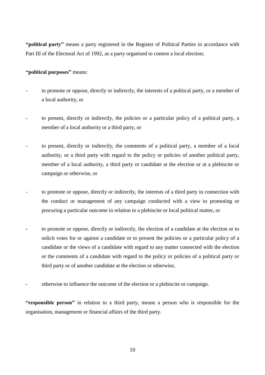**"political party"** means a party registered in the Register of Political Parties in accordance with Part III of the Electoral Act of 1992, as a party organised to contest a local election;

#### **"political purposes"** means:

- to promote or oppose, directly or indirectly, the interests of a political party, or a member of a local authority, or
- to present, directly or indirectly, the policies or a particular policy of a political party, a member of a local authority or a third party, or
- to present, directly or indirectly, the comments of a political party, a member of a local authority, or a third party with regard to the policy or policies of another political party, member of a local authority, a third party or candidate at the election or at a plebiscite or campaign or otherwise, or
- to promote or oppose, directly or indirectly, the interests of a third party in connection with the conduct or management of any campaign conducted with a view to promoting or procuring a particular outcome in relation to a plebiscite or local political matter, or
- **-** to promote or oppose, directly or indirectly, the election of a candidate at the election or to solicit votes for or against a candidate or to present the policies or a particular policy of a candidate or the views of a candidate with regard to any matter connected with the election or the comments of a candidate with regard to the policy or policies of a political party or third party or of another candidate at the election or otherwise,
- otherwise to influence the outcome of the election or a plebiscite or campaign.

**"responsible person"** in relation to a third party, means a person who is responsible for the organisation, management or financial affairs of the third party.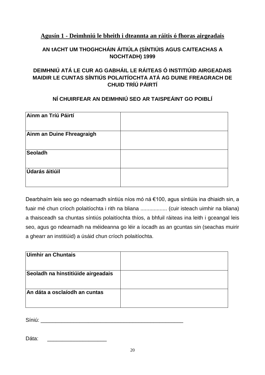# **Agusín 1 - Deimhniú le bheith i dteannta an ráitis ó fhoras airgeadais**

# **AN tACHT UM THOGHCHÁIN ÁITIÚLA (SÍNTIÚIS AGUS CAITEACHAS A NOCHTADH) 1999**

# **DEIMHNIÚ ATÁ LE CUR AG GABHÁIL LE RÁITEAS Ó INSTITIÚID AIRGEADAIS MAIDIR LE CUNTAS SÍNTIÚS POLAITÍOCHTA ATÁ AG DUINE FREAGRACH DE CHUID TRÍÚ PÁIRTÍ**

# **NÍ CHUIRFEAR AN DEIMHNIÚ SEO AR TAISPEÁINT GO POIBLÍ**

| Ainm an Tríú Páirtí       |  |
|---------------------------|--|
| Ainm an Duine Fhreagraigh |  |
| <b>Seoladh</b>            |  |
| <b>Údarás áitiúil</b>     |  |

Dearbhaím leis seo go ndearnadh síntiús níos mó ná €100, agus síntiúis ina dhiaidh sin, a fuair mé chun críoch polaitíochta i rith na bliana .................. (cuir isteach uimhir na bliana) a thaisceadh sa chuntas síntiús polaitíochta thíos, a bhfuil ráiteas ina leith i gceangal leis seo, agus go ndearnadh na méideanna go léir a íocadh as an gcuntas sin (seachas muirir a ghearr an institiúid) a úsáid chun críoch polaitíochta.

| Uimhir an Chuntais                 |  |
|------------------------------------|--|
| Seoladh na hinstitiúide airgeadais |  |
| An dáta a osclaíodh an cuntas      |  |

Síniú: \_\_\_\_\_\_\_\_\_\_\_\_\_\_\_\_\_\_\_\_\_\_\_\_\_\_\_\_\_\_\_\_\_\_\_\_\_\_\_\_\_\_\_\_\_\_\_\_

Dáta: